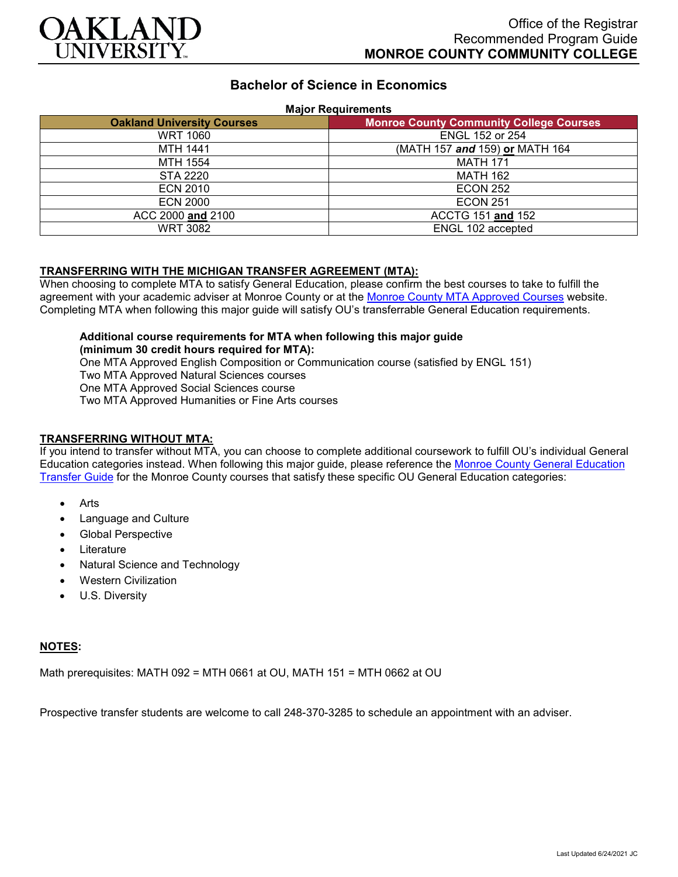

# **Bachelor of Science in Economics**

#### **Major Requirements**

| <b>Oakland University Courses</b> | <b>Monroe County Community College Courses</b> |
|-----------------------------------|------------------------------------------------|
| <b>WRT 1060</b>                   | <b>ENGL 152 or 254</b>                         |
| <b>MTH 1441</b>                   | (MATH 157 and 159) or MATH 164                 |
| MTH 1554                          | <b>MATH 171</b>                                |
| STA 2220                          | <b>MATH 162</b>                                |
| <b>ECN 2010</b>                   | <b>ECON 252</b>                                |
| <b>ECN 2000</b>                   | <b>ECON 251</b>                                |
| ACC 2000 and 2100                 | ACCTG 151 and 152                              |
| <b>WRT 3082</b>                   | ENGL 102 accepted                              |

#### **TRANSFERRING WITH THE MICHIGAN TRANSFER AGREEMENT (MTA):**

When choosing to complete MTA to satisfy General Education, please confirm the best courses to take to fulfill the agreement with your academic adviser at Monroe County or at the [Monroe County MTA Approved Courses](https://www.monroeccc.edu/transfer/michigan-transfer-agreement) website. Completing MTA when following this major guide will satisfy OU's transferrable General Education requirements.

**Additional course requirements for MTA when following this major guide (minimum 30 credit hours required for MTA):** One MTA Approved English Composition or Communication course (satisfied by ENGL 151) Two MTA Approved Natural Sciences courses One MTA Approved Social Sciences course

Two MTA Approved Humanities or Fine Arts courses

### **TRANSFERRING WITHOUT MTA:**

If you intend to transfer without MTA, you can choose to complete additional coursework to fulfill OU's individual General Education categories instead. When following this major guide, please reference the [Monroe County General Education](https://www.oakland.edu/Assets/Oakland/program-guides/monroe-county-community-college/university-general-education-requirements/Monroe%20County%20Gen%20Ed.pdf)  [Transfer Guide](https://www.oakland.edu/Assets/Oakland/program-guides/monroe-county-community-college/university-general-education-requirements/Monroe%20County%20Gen%20Ed.pdf) for the Monroe County courses that satisfy these specific OU General Education categories:

- Arts
- Language and Culture
- Global Perspective
- **Literature**
- Natural Science and Technology
- Western Civilization
- U.S. Diversity

#### **NOTES:**

Math prerequisites: MATH 092 = MTH 0661 at OU, MATH 151 = MTH 0662 at OU

Prospective transfer students are welcome to call 248-370-3285 to schedule an appointment with an adviser.